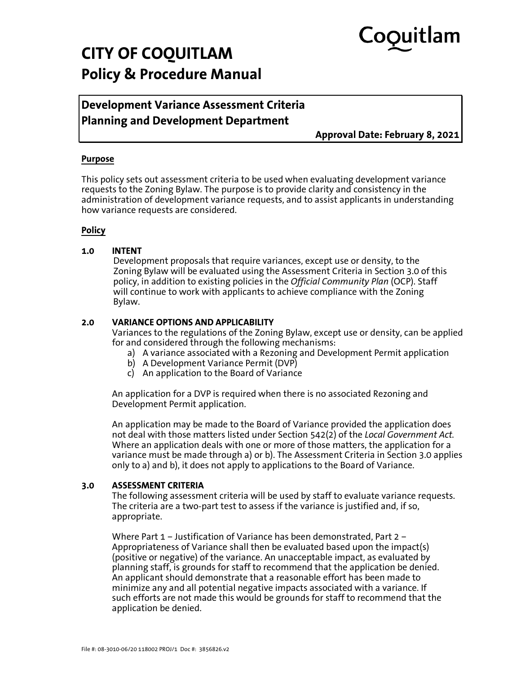# CoQuitlam

## **CITY OF COQUITLAM Policy & Procedure Manual**

### **Development Variance Assessment Criteria Planning and Development Department**

**Approval Date: February 8, 2021**

#### **Purpose**

This policy sets out assessment criteria to be used when evaluating development variance requests to the Zoning Bylaw. The purpose is to provide clarity and consistency in the administration of development variance requests, and to assist applicants in understanding how variance requests are considered.

#### **Policy**

#### **1.0 INTENT**

Development proposals that require variances, except use or density, to the Zoning Bylaw will be evaluated using the Assessment Criteria in Section 3.0 of this policy, in addition to existing policies in the *Official Community Plan* (OCP). Staff will continue to work with applicants to achieve compliance with the Zoning Bylaw.

#### **2.0 VARIANCE OPTIONS AND APPLICABILITY**

Variances to the regulations of the Zoning Bylaw, except use or density, can be applied for and considered through the following mechanisms:

- a) A variance associated with a Rezoning and Development Permit application
- b) A Development Variance Permit (DVP)
- c) An application to the Board of Variance

An application for a DVP is required when there is no associated Rezoning and Development Permit application.

An application may be made to the Board of Variance provided the application does not deal with those matters listed under Section 542(2) of the *Local Government Act.*  Where an application deals with one or more of those matters, the application for a variance must be made through a) or b). The Assessment Criteria in Section 3.0 applies only to a) and b), it does not apply to applications to the Board of Variance.

#### **3.0 ASSESSMENT CRITERIA**

The following assessment criteria will be used by staff to evaluate variance requests. The criteria are a two-part test to assess if the variance is justified and, if so, appropriate.

Where Part 1 – Justification of Variance has been demonstrated, Part 2 – Appropriateness of Variance shall then be evaluated based upon the impact(s) (positive or negative) of the variance. An unacceptable impact, as evaluated by planning staff, is grounds for staff to recommend that the application be denied. An applicant should demonstrate that a reasonable effort has been made to minimize any and all potential negative impacts associated with a variance. If such efforts are not made this would be grounds for staff to recommend that the application be denied.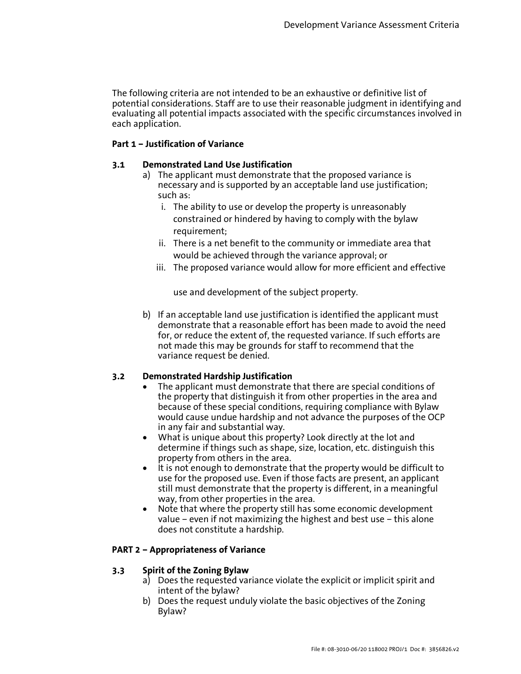The following criteria are not intended to be an exhaustive or definitive list of potential considerations. Staff are to use their reasonable judgment in identifying and evaluating all potential impacts associated with the specific circumstances involved in each application.

#### **Part 1 – Justification of Variance**

#### **3.1 Demonstrated Land Use Justification**

- a) The applicant must demonstrate that the proposed variance is necessary and is supported by an acceptable land use justification; such as:
	- i. The ability to use or develop the property is unreasonably constrained or hindered by having to comply with the bylaw requirement;
	- ii. There is a net benefit to the community or immediate area that would be achieved through the variance approval; or
	- iii. The proposed variance would allow for more efficient and effective

use and development of the subject property.

b) If an acceptable land use justification is identified the applicant must demonstrate that a reasonable effort has been made to avoid the need for, or reduce the extent of, the requested variance. If such efforts are not made this may be grounds for staff to recommend that the variance request be denied.

#### **3.2 Demonstrated Hardship Justification**

- The applicant must demonstrate that there are special conditions of the property that distinguish it from other properties in the area and because of these special conditions, requiring compliance with Bylaw would cause undue hardship and not advance the purposes of the OCP in any fair and substantial way.
- What is unique about this property? Look directly at the lot and determine if things such as shape, size, location, etc. distinguish this property from others in the area.
- It is not enough to demonstrate that the property would be difficult to use for the proposed use. Even if those facts are present, an applicant still must demonstrate that the property is different, in a meaningful way, from other properties in the area.
- Note that where the property still has some economic development value – even if not maximizing the highest and best use – this alone does not constitute a hardship.

#### **PART 2 – Appropriateness of Variance**

#### **3.3 Spirit of the Zoning Bylaw**

- a) Does the requested variance violate the explicit or implicit spirit and intent of the bylaw?
- b) Does the request unduly violate the basic objectives of the Zoning Bylaw?